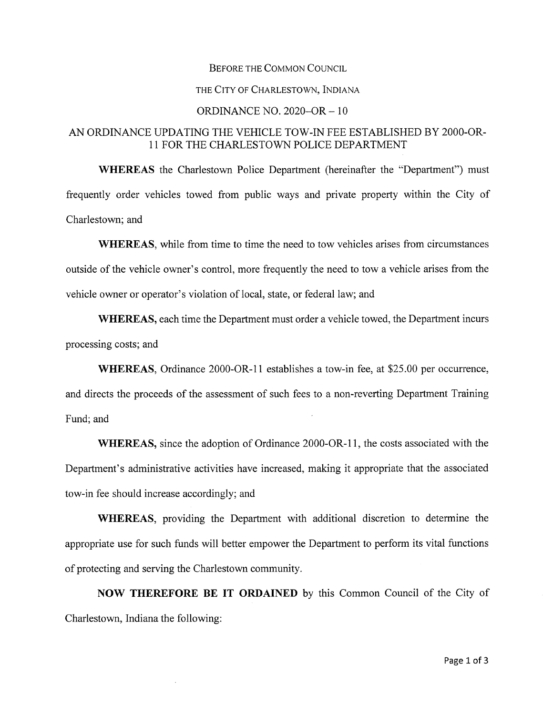## Before the Common Council

## THE City of Charlestown, Indiana

## ORDINANCE NO. 2020-OR - <sup>10</sup>

## AN ORDINANCE UPDATING THE VEHICLE TOW-IN FEE ESTABLISHED BY 2000-OR-11 FOR THE CHARLESTOWN POLICE DEPARTMENT

**WHEREAS** the Charlestown Police Department (hereinafter the "Department") must frequently order vehicles towed from public ways and private property within the City of Charlestown; and

WHEREAS, while from time to time the need to tow vehicles arises from circumstances outside ofthe vehicle owner's control, more frequently the need to tow a vehicle arises from the vehicle owner or operator's violation of local, state, or federal law; and

**WHEREAS,** each time the Department must order a vehicle towed, the Department incurs processing costs; and

**WHEREAS,** Ordinance 2000-OR-11 establishes a tow-in fee, at \$25.00 per occurrence, and directs the proceeds of the assessment of such fees to a non-reverting Department Training

Fund; and

**WHEREAS,** since the adoption of Ordinance 2000-OR-11, the costs associated with the Department's administrative activities have increased, making it appropriate that the associated tow-in fee should increase accordingly; and

**WHEREAS,** providing the Department with additional discretion to determine the appropriate use for such funds will better empower the Department to perform its vital functions of protecting and serving the Charlestown community.

**NOW THEREFORE BE IT ORDAINED** by this Common Council of the City of Charlestown, Indiana the following: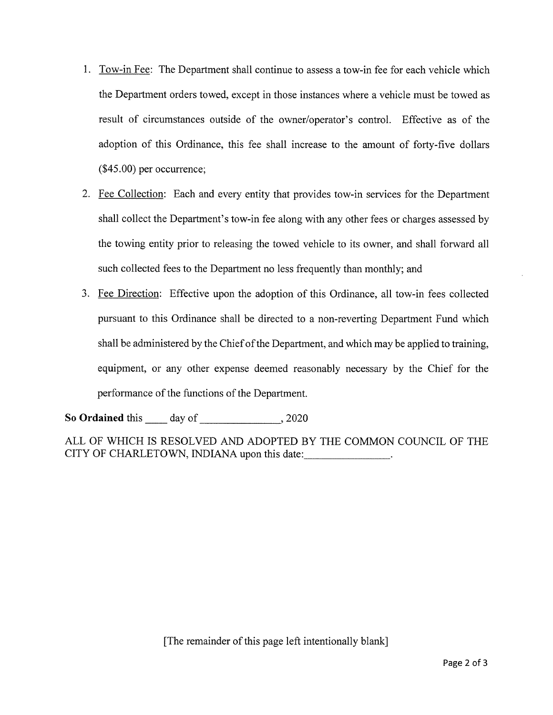- 1. Tow-in Fee: The Department shall continue to assess a tow-in fee for each vehicle which the Department orders towed, except in those instances where a vehicle must be towed as result of circumstances outside of the owner/operator's control. Effective as of the adoption of this Ordinance, this fee shall increase to the amount of forty-five dollars (\$45.00) per occurrence;
- 2. Fee Collection: Each and every entity that provides tow-in services for the Department shall collect the Department's tow-in fee along with any other fees or charges assessed by the towing entity prior to releasing the towed vehicle to its owner, and shall forward all such collected fees to the Department no less frequently than monthly; and
- 3. Fee Direction: Effective upon the adoption of this Ordinance, all tow-in fees collected pursuant to this Ordinance shall be directed to a non-reverting Department Fund which shall be administered by the Chiefofthe Department, and which may be applied to training, equipment, or any other expense deemed reasonably necessary by the Chief for the performance of the functions of the Department.

So **Ordained** this day of 3020

ALL OF WHICH IS RESOLVED AND ADOPTED BY THE COMMON COUNCIL OF THE CITY OF CHARLETOWN, INDIANA upon this date: